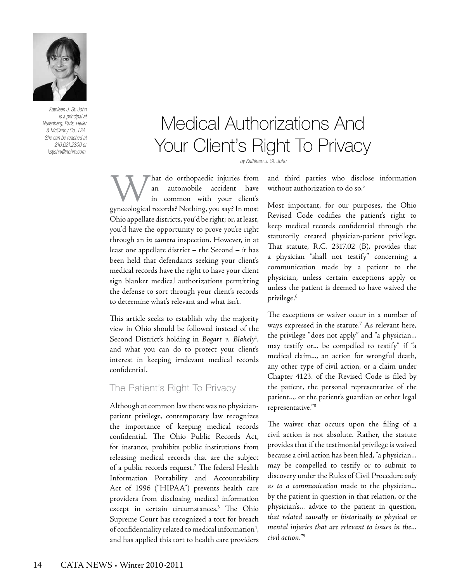

*Kathleen J. St. John is a principal at Nurenberg, Paris, Heller & McCarthy Co., LPA. She can be reached at 216.621.2300 or kstjohn@nphm.com.*

# Medical Authorizations And Your Client's Right To Privacy

*by Kathleen J. St. John*

hat do orthopaedic injuries from<br>an automobile accident have automobile accident have in common with your client's gynecological records? Nothing, you say? In most Ohio appellate districts, you'd be right; or, at least, you'd have the opportunity to prove you're right through an *in camera* inspection. However, in at least one appellate district – the Second – it has been held that defendants seeking your client's medical records have the right to have your client sign blanket medical authorizations permitting the defense to sort through your client's records to determine what's relevant and what isn't.

This article seeks to establish why the majority view in Ohio should be followed instead of the Second District's holding in *Bogart v. Blakely*<sup>1</sup> , and what you can do to protect your client's interest in keeping irrelevant medical records confidential.

#### The Patient's Right To Privacy

Although at common law there was no physicianpatient privilege, contemporary law recognizes the importance of keeping medical records confidential. The Ohio Public Records Act, for instance, prohibits public institutions from releasing medical records that are the subject of a public records request.<sup>2</sup> The federal Health Information Portability and Accountability Act of 1996 ("HIPAA") prevents health care providers from disclosing medical information except in certain circumstances.3 The Ohio Supreme Court has recognized a tort for breach of confidentiality related to medical information<sup>4</sup>, and has applied this tort to health care providers

and third parties who disclose information without authorization to do so.<sup>5</sup>

Most important, for our purposes, the Ohio Revised Code codifies the patient's right to keep medical records confidential through the statutorily created physician-patient privilege. That statute, R.C. 2317.02 (B), provides that a physician "shall not testify" concerning a communication made by a patient to the physician, unless certain exceptions apply or unless the patient is deemed to have waived the privilege.6

The exceptions or waiver occur in a number of ways expressed in the statute.7 As relevant here, the privilege "does not apply" and "a physician... may testify or... be compelled to testify" if "a medical claim..., an action for wrongful death, any other type of civil action, or a claim under Chapter 4123. of the Revised Code is filed by the patient, the personal representative of the patient..., or the patient's guardian or other legal representative."8

The waiver that occurs upon the filing of a civil action is not absolute. Rather, the statute provides that if the testimonial privilege is waived because a civil action has been filed, "a physician... may be compelled to testify or to submit to discovery under the Rules of Civil Procedure *only as to a communication* made to the physician... by the patient in question in that relation, or the physician's... advice to the patient in question, *that related causally or historically to physical or mental injuries that are relevant to issues in the... civil action.*" 9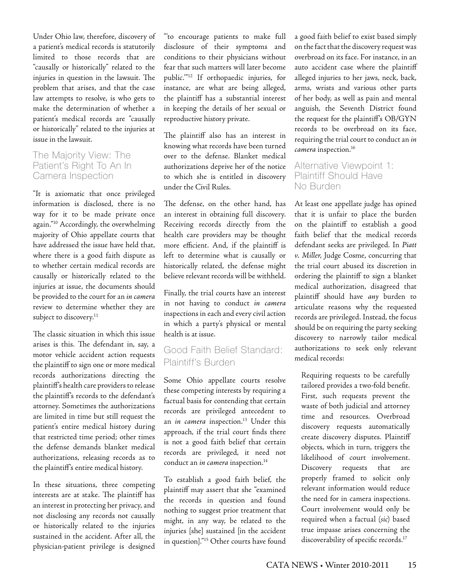Under Ohio law, therefore, discovery of a patient's medical records is statutorily limited to those records that are "causally or historically" related to the injuries in question in the lawsuit. The problem that arises, and that the case law attempts to resolve, is who gets to make the determination of whether a patient's medical records are "causally or historically" related to the injuries at issue in the lawsuit.

#### The Majority View: The Patient's Right To An In Camera Inspection

"It is axiomatic that once privileged information is disclosed, there is no way for it to be made private once again."10 Accordingly, the overwhelming majority of Ohio appellate courts that have addressed the issue have held that, where there is a good faith dispute as to whether certain medical records are causally or historically related to the injuries at issue, the documents should be provided to the court for an *in camera* review to determine whether they are subject to discovery.<sup>11</sup>

The classic situation in which this issue arises is this. The defendant in, say, a motor vehicle accident action requests the plaintiff to sign one or more medical records authorizations directing the plaintiff's health care providers to release the plaintiff's records to the defendant's attorney. Sometimes the authorizations are limited in time but still request the patient's entire medical history during that restricted time period; other times the defense demands blanket medical authorizations, releasing records as to the plaintiff's entire medical history.

In these situations, three competing interests are at stake. The plaintiff has an interest in protecting her privacy, and not disclosing any records not causally or historically related to the injuries sustained in the accident. After all, the physician-patient privilege is designed

"'to encourage patients to make full disclosure of their symptoms and conditions to their physicians without fear that such matters will later become public.'"12 If orthopaedic injuries, for instance, are what are being alleged, the plaintiff has a substantial interest in keeping the details of her sexual or reproductive history private.

The plaintiff also has an interest in knowing what records have been turned over to the defense. Blanket medical authorizations deprive her of the notice to which she is entitled in discovery under the Civil Rules.

The defense, on the other hand, has an interest in obtaining full discovery. Receiving records directly from the health care providers may be thought more efficient. And, if the plaintiff is left to determine what is causally or historically related, the defense might believe relevant records will be withheld.

Finally, the trial courts have an interest in not having to conduct *in camera*  inspections in each and every civil action in which a party's physical or mental health is at issue.

# Good Faith Belief Standard: Plaintiff's Burden

Some Ohio appellate courts resolve these competing interests by requiring a factual basis for contending that certain records are privileged antecedent to an *in camera* inspection.<sup>13</sup> Under this approach, if the trial court finds there is not a good faith belief that certain records are privileged, it need not conduct an *in camera* inspection.<sup>14</sup>

To establish a good faith belief, the plaintiff may assert that she "examined the records in question and found nothing to suggest prior treatment that might, in any way, be related to the injuries [she] sustained [in the accident in question]."15 Other courts have found

a good faith belief to exist based simply on the fact that the discovery request was overbroad on its face. For instance, in an auto accident case where the plaintiff alleged injuries to her jaws, neck, back, arms, wrists and various other parts of her body, as well as pain and mental anguish, the Seventh District found the request for the plaintiff's OB/GYN records to be overbroad on its face, requiring the trial court to conduct an *in camera* inspection.16

### Alternative Viewpoint 1: Plaintiff Should Have No Burden

At least one appellate judge has opined that it is unfair to place the burden on the plaintiff to establish a good faith belief that the medical records defendant seeks are privileged. In *Piatt v. Miller*, Judge Cosme, concurring that the trial court abused its discretion in ordering the plaintiff to sign a blanket medical authorization, disagreed that plaintiff should have *any* burden to articulate reasons why the requested records are privileged. Instead, the focus should be on requiring the party seeking discovery to narrowly tailor medical authorizations to seek only relevant medical records:

Requiring requests to be carefully tailored provides a two-fold benefit. First, such requests prevent the waste of both judicial and attorney time and resources. Overbroad discovery requests automatically create discovery disputes. Plaintiff objects, which in turn, triggers the likelihood of court involvement. Discovery requests that are properly framed to solicit only relevant information would reduce the need for in camera inspections. Court involvement would only be required when a factual (*sic*) based true impasse arises concerning the discoverability of specific records.<sup>17</sup>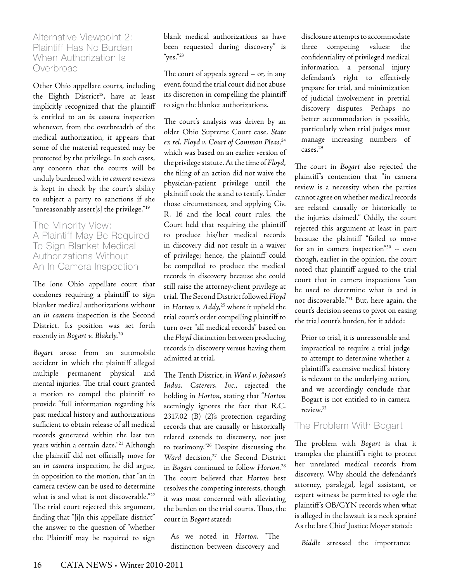#### Alternative Viewpoint 2: Plaintiff Has No Burden When Authorization Is **Overbroad**

Other Ohio appellate courts, including the Eighth District<sup>18</sup>, have at least implicitly recognized that the plaintiff is entitled to an *in camera* inspection whenever, from the overbreadth of the medical authorization, it appears that some of the material requested may be protected by the privilege. In such cases, any concern that the courts will be unduly burdened with *in camera* reviews is kept in check by the court's ability to subject a party to sanctions if she "unreasonably assert[s] the privilege."<sup>19</sup>

The Minority View: A Plaintiff May Be Required To Sign Blanket Medical Authorizations Without An In Camera Inspection

The lone Ohio appellate court that condones requiring a plaintiff to sign blanket medical authorizations without an *in camera* inspection is the Second District. Its position was set forth recently in *Bogart v. Blakely.*<sup>20</sup>

*Bogart* arose from an automobile accident in which the plaintiff alleged multiple permanent physical and mental injuries. The trial court granted a motion to compel the plaintiff to provide "full information regarding his past medical history and authorizations sufficient to obtain release of all medical records generated within the last ten years within a certain date."<sup>21</sup> Although the plaintiff did not officially move for an *in camera* inspection, he did argue, in opposition to the motion, that "an in camera review can be used to determine what is and what is not discoverable."<sup>22</sup> The trial court rejected this argument, finding that "[i]n this appellate district" the answer to the question of "whether the Plaintiff may be required to sign

blank medical authorizations as have been requested during discovery" is "yes."23

The court of appeals agreed – or, in any event, found the trial court did not abuse its discretion in compelling the plaintiff to sign the blanket authorizations.

The court's analysis was driven by an older Ohio Supreme Court case, *State ex rel. Floyd v. Court of Common Pleas*, 24 which was based on an earlier version of the privilege statute. At the time of *Floyd*, the filing of an action did not waive the physician-patient privilege until the plaintiff took the stand to testify. Under those circumstances, and applying Civ. R. 16 and the local court rules, the Court held that requiring the plaintiff to produce his/her medical records in discovery did not result in a waiver of privilege; hence, the plaintiff could be compelled to produce the medical records in discovery because she could still raise the attorney-client privilege at trial. The Second District followed *Floyd*  in *Horton v. Addy*, 25 where it upheld the trial court's order compelling plaintiff to turn over "all medical records" based on the *Floyd* distinction between producing records in discovery versus having them admitted at trial.

The Tenth District, in *Ward v. Johnson's Indus. Caterers, Inc.*, rejected the holding in *Horton*, stating that "*Horton* seemingly ignores the fact that R.C. 2317.02 (B) (2)'s protection regarding records that are causally or historically related extends to discovery, not just to testimony."26 Despite discussing the Ward decision,<sup>27</sup> the Second District in *Bogart* continued to follow *Horton*. 28 The court believed that *Horton* best resolves the competing interests, though it was most concerned with alleviating the burden on the trial courts. Thus, the court in *Bogart* stated:

As we noted in *Horton*, "The distinction between discovery and

disclosure attempts to accommodate three competing values: the confidentiality of privileged medical information, a personal injury defendant's right to effectively prepare for trial, and minimization of judicial involvement in pretrial discovery disputes. Perhaps no better accommodation is possible, particularly when trial judges must manage increasing numbers of cases.29

The court in *Bogart* also rejected the plaintiff's contention that "in camera review is a necessity when the parties cannot agree on whether medical records are related causally or historically to the injuries claimed." Oddly, the court rejected this argument at least in part because the plaintiff "failed to move for an in camera inspection"30 -- even though, earlier in the opinion, the court noted that plaintiff argued to the trial court that in camera inspections "can be used to determine what is and is not discoverable."31 But, here again, the court's decision seems to pivot on easing the trial court's burden, for it added:

Prior to trial, it is unreasonable and impractical to require a trial judge to attempt to determine whether a plaintiff's extensive medical history is relevant to the underlying action, and we accordingly conclude that Bogart is not entitled to in camera review.32

## The Problem With Bogart

The problem with *Bogart* is that it tramples the plaintiff's right to protect her unrelated medical records from discovery. Why should the defendant's attorney, paralegal, legal assistant, or expert witness be permitted to ogle the plaintiff's OB/GYN records when what is alleged in the lawsuit is a neck sprain? As the late Chief Justice Moyer stated:

*Biddle* stressed the importance